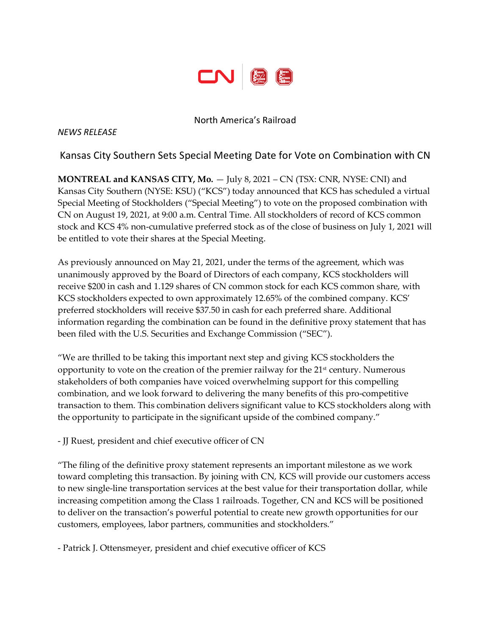

## North America's Railroad

*NEWS RELEASE*

# Kansas City Southern Sets Special Meeting Date for Vote on Combination with CN

**MONTREAL and KANSAS CITY, Mo.** — July 8, 2021 – CN (TSX: CNR, NYSE: CNI) and Kansas City Southern (NYSE: KSU) ("KCS") today announced that KCS has scheduled a virtual Special Meeting of Stockholders ("Special Meeting") to vote on the proposed combination with CN on August 19, 2021, at 9:00 a.m. Central Time. All stockholders of record of KCS common stock and KCS 4% non-cumulative preferred stock as of the close of business on July 1, 2021 will be entitled to vote their shares at the Special Meeting.

As previously announced on May 21, 2021, under the terms of the agreement, which was unanimously approved by the Board of Directors of each company, KCS stockholders will receive \$200 in cash and 1.129 shares of CN common stock for each KCS common share, with KCS stockholders expected to own approximately 12.65% of the combined company. KCS' preferred stockholders will receive \$37.50 in cash for each preferred share. Additional information regarding the combination can be found in the definitive proxy statement that has been filed with the U.S. Securities and Exchange Commission ("SEC").

"We are thrilled to be taking this important next step and giving KCS stockholders the opportunity to vote on the creation of the premier railway for the  $21<sup>st</sup>$  century. Numerous stakeholders of both companies have voiced overwhelming support for this compelling combination, and we look forward to delivering the many benefits of this pro-competitive transaction to them. This combination delivers significant value to KCS stockholders along with the opportunity to participate in the significant upside of the combined company."

- JJ Ruest, president and chief executive officer of CN

"The filing of the definitive proxy statement represents an important milestone as we work toward completing this transaction. By joining with CN, KCS will provide our customers access to new single-line transportation services at the best value for their transportation dollar, while increasing competition among the Class 1 railroads. Together, CN and KCS will be positioned to deliver on the transaction's powerful potential to create new growth opportunities for our customers, employees, labor partners, communities and stockholders."

- Patrick J. Ottensmeyer, president and chief executive officer of KCS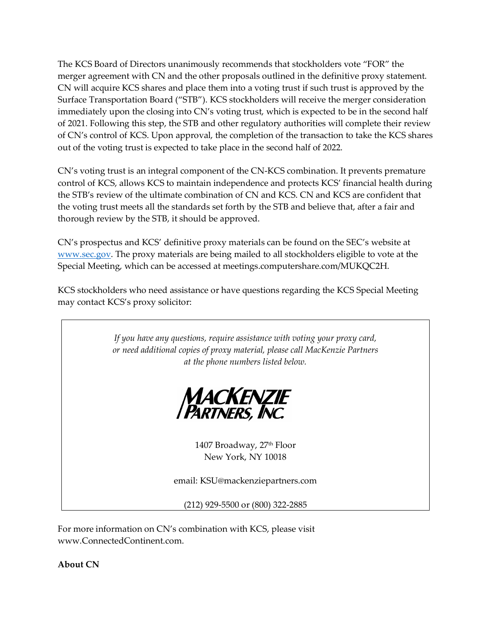The KCS Board of Directors unanimously recommends that stockholders vote "FOR" the merger agreement with CN and the other proposals outlined in the definitive proxy statement. CN will acquire KCS shares and place them into a voting trust if such trust is approved by the Surface Transportation Board ("STB"). KCS stockholders will receive the merger consideration immediately upon the closing into CN's voting trust, which is expected to be in the second half of 2021. Following this step, the STB and other regulatory authorities will complete their review of CN's control of KCS. Upon approval, the completion of the transaction to take the KCS shares out of the voting trust is expected to take place in the second half of 2022.

CN's voting trust is an integral component of the CN-KCS combination. It prevents premature control of KCS, allows KCS to maintain independence and protects KCS' financial health during the STB's review of the ultimate combination of CN and KCS. CN and KCS are confident that the voting trust meets all the standards set forth by the STB and believe that, after a fair and thorough review by the STB, it should be approved.

CN's prospectus and KCS' definitive proxy materials can be found on the SEC's website at [www.sec.gov.](http://www.sec.gov/) The proxy materials are being mailed to all stockholders eligible to vote at the Special Meeting, which can be accessed at meetings.computershare.com/MUKQC2H.

KCS stockholders who need assistance or have questions regarding the KCS Special Meeting may contact KCS's proxy solicitor:



For more information on CN's combination with KCS, please visit www.ConnectedContinent.com.

**About CN**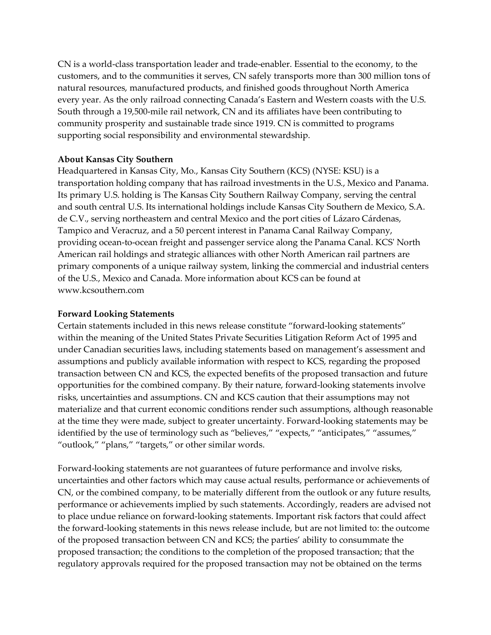CN is a world-class transportation leader and trade-enabler. Essential to the economy, to the customers, and to the communities it serves, CN safely transports more than 300 million tons of natural resources, manufactured products, and finished goods throughout North America every year. As the only railroad connecting Canada's Eastern and Western coasts with the U.S. South through a 19,500-mile rail network, CN and its affiliates have been contributing to community prosperity and sustainable trade since 1919. CN is committed to programs supporting social responsibility and environmental stewardship.

### **About Kansas City Southern**

Headquartered in Kansas City, Mo., Kansas City Southern (KCS) (NYSE: KSU) is a transportation holding company that has railroad investments in the U.S., Mexico and Panama. Its primary U.S. holding is The Kansas City Southern Railway Company, serving the central and south central U.S. Its international holdings include Kansas City Southern de Mexico, S.A. de C.V., serving northeastern and central Mexico and the port cities of Lázaro Cárdenas, Tampico and Veracruz, and a 50 percent interest in Panama Canal Railway Company, providing ocean-to-ocean freight and passenger service along the Panama Canal. KCS' North American rail holdings and strategic alliances with other North American rail partners are primary components of a unique railway system, linking the commercial and industrial centers of the U.S., Mexico and Canada. More information about KCS can be found at www.kcsouthern.com

## **Forward Looking Statements**

Certain statements included in this news release constitute "forward-looking statements" within the meaning of the United States Private Securities Litigation Reform Act of 1995 and under Canadian securities laws, including statements based on management's assessment and assumptions and publicly available information with respect to KCS, regarding the proposed transaction between CN and KCS, the expected benefits of the proposed transaction and future opportunities for the combined company. By their nature, forward-looking statements involve risks, uncertainties and assumptions. CN and KCS caution that their assumptions may not materialize and that current economic conditions render such assumptions, although reasonable at the time they were made, subject to greater uncertainty. Forward-looking statements may be identified by the use of terminology such as "believes," "expects," "anticipates," "assumes," "outlook," "plans," "targets," or other similar words.

Forward-looking statements are not guarantees of future performance and involve risks, uncertainties and other factors which may cause actual results, performance or achievements of CN, or the combined company, to be materially different from the outlook or any future results, performance or achievements implied by such statements. Accordingly, readers are advised not to place undue reliance on forward-looking statements. Important risk factors that could affect the forward-looking statements in this news release include, but are not limited to: the outcome of the proposed transaction between CN and KCS; the parties' ability to consummate the proposed transaction; the conditions to the completion of the proposed transaction; that the regulatory approvals required for the proposed transaction may not be obtained on the terms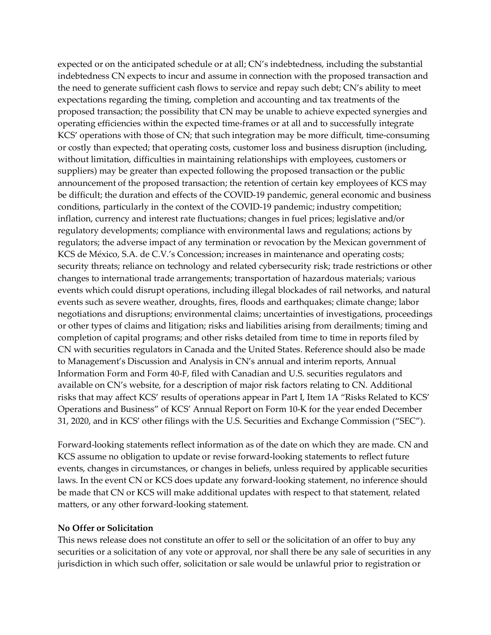expected or on the anticipated schedule or at all; CN's indebtedness, including the substantial indebtedness CN expects to incur and assume in connection with the proposed transaction and the need to generate sufficient cash flows to service and repay such debt; CN's ability to meet expectations regarding the timing, completion and accounting and tax treatments of the proposed transaction; the possibility that CN may be unable to achieve expected synergies and operating efficiencies within the expected time-frames or at all and to successfully integrate KCS' operations with those of CN; that such integration may be more difficult, time-consuming or costly than expected; that operating costs, customer loss and business disruption (including, without limitation, difficulties in maintaining relationships with employees, customers or suppliers) may be greater than expected following the proposed transaction or the public announcement of the proposed transaction; the retention of certain key employees of KCS may be difficult; the duration and effects of the COVID-19 pandemic, general economic and business conditions, particularly in the context of the COVID-19 pandemic; industry competition; inflation, currency and interest rate fluctuations; changes in fuel prices; legislative and/or regulatory developments; compliance with environmental laws and regulations; actions by regulators; the adverse impact of any termination or revocation by the Mexican government of KCS de México, S.A. de C.V.'s Concession; increases in maintenance and operating costs; security threats; reliance on technology and related cybersecurity risk; trade restrictions or other changes to international trade arrangements; transportation of hazardous materials; various events which could disrupt operations, including illegal blockades of rail networks, and natural events such as severe weather, droughts, fires, floods and earthquakes; climate change; labor negotiations and disruptions; environmental claims; uncertainties of investigations, proceedings or other types of claims and litigation; risks and liabilities arising from derailments; timing and completion of capital programs; and other risks detailed from time to time in reports filed by CN with securities regulators in Canada and the United States. Reference should also be made to Management's Discussion and Analysis in CN's annual and interim reports, Annual Information Form and Form 40-F, filed with Canadian and U.S. securities regulators and available on CN's website, for a description of major risk factors relating to CN. Additional risks that may affect KCS' results of operations appear in Part I, Item 1A "Risks Related to KCS' Operations and Business" of KCS' Annual Report on Form 10-K for the year ended December 31, 2020, and in KCS' other filings with the U.S. Securities and Exchange Commission ("SEC").

Forward-looking statements reflect information as of the date on which they are made. CN and KCS assume no obligation to update or revise forward-looking statements to reflect future events, changes in circumstances, or changes in beliefs, unless required by applicable securities laws. In the event CN or KCS does update any forward-looking statement, no inference should be made that CN or KCS will make additional updates with respect to that statement, related matters, or any other forward-looking statement.

### **No Offer or Solicitation**

This news release does not constitute an offer to sell or the solicitation of an offer to buy any securities or a solicitation of any vote or approval, nor shall there be any sale of securities in any jurisdiction in which such offer, solicitation or sale would be unlawful prior to registration or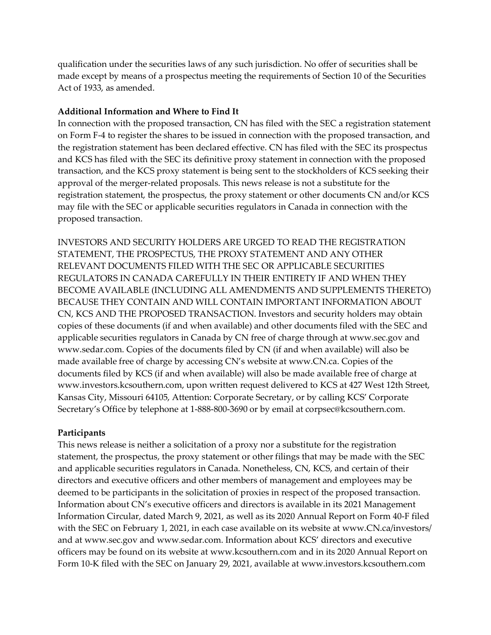qualification under the securities laws of any such jurisdiction. No offer of securities shall be made except by means of a prospectus meeting the requirements of Section 10 of the Securities Act of 1933, as amended.

### **Additional Information and Where to Find It**

In connection with the proposed transaction, CN has filed with the SEC a registration statement on Form F-4 to register the shares to be issued in connection with the proposed transaction, and the registration statement has been declared effective. CN has filed with the SEC its prospectus and KCS has filed with the SEC its definitive proxy statement in connection with the proposed transaction, and the KCS proxy statement is being sent to the stockholders of KCS seeking their approval of the merger-related proposals. This news release is not a substitute for the registration statement, the prospectus, the proxy statement or other documents CN and/or KCS may file with the SEC or applicable securities regulators in Canada in connection with the proposed transaction.

INVESTORS AND SECURITY HOLDERS ARE URGED TO READ THE REGISTRATION STATEMENT, THE PROSPECTUS, THE PROXY STATEMENT AND ANY OTHER RELEVANT DOCUMENTS FILED WITH THE SEC OR APPLICABLE SECURITIES REGULATORS IN CANADA CAREFULLY IN THEIR ENTIRETY IF AND WHEN THEY BECOME AVAILABLE (INCLUDING ALL AMENDMENTS AND SUPPLEMENTS THERETO) BECAUSE THEY CONTAIN AND WILL CONTAIN IMPORTANT INFORMATION ABOUT CN, KCS AND THE PROPOSED TRANSACTION. Investors and security holders may obtain copies of these documents (if and when available) and other documents filed with the SEC and applicable securities regulators in Canada by CN free of charge through at www.sec.gov and www.sedar.com. Copies of the documents filed by CN (if and when available) will also be made available free of charge by accessing CN's website at www.CN.ca. Copies of the documents filed by KCS (if and when available) will also be made available free of charge at www.investors.kcsouthern.com, upon written request delivered to KCS at 427 West 12th Street, Kansas City, Missouri 64105, Attention: Corporate Secretary, or by calling KCS' Corporate Secretary's Office by telephone at 1-888-800-3690 or by email at corpsec@kcsouthern.com.

### **Participants**

This news release is neither a solicitation of a proxy nor a substitute for the registration statement, the prospectus, the proxy statement or other filings that may be made with the SEC and applicable securities regulators in Canada. Nonetheless, CN, KCS, and certain of their directors and executive officers and other members of management and employees may be deemed to be participants in the solicitation of proxies in respect of the proposed transaction. Information about CN's executive officers and directors is available in its 2021 Management Information Circular, dated March 9, 2021, as well as its 2020 Annual Report on Form 40-F filed with the SEC on February 1, 2021, in each case available on its website at www.CN.ca/investors/ and at www.sec.gov and www.sedar.com. Information about KCS' directors and executive officers may be found on its website at www.kcsouthern.com and in its 2020 Annual Report on Form 10-K filed with the SEC on January 29, 2021, available at www.investors.kcsouthern.com